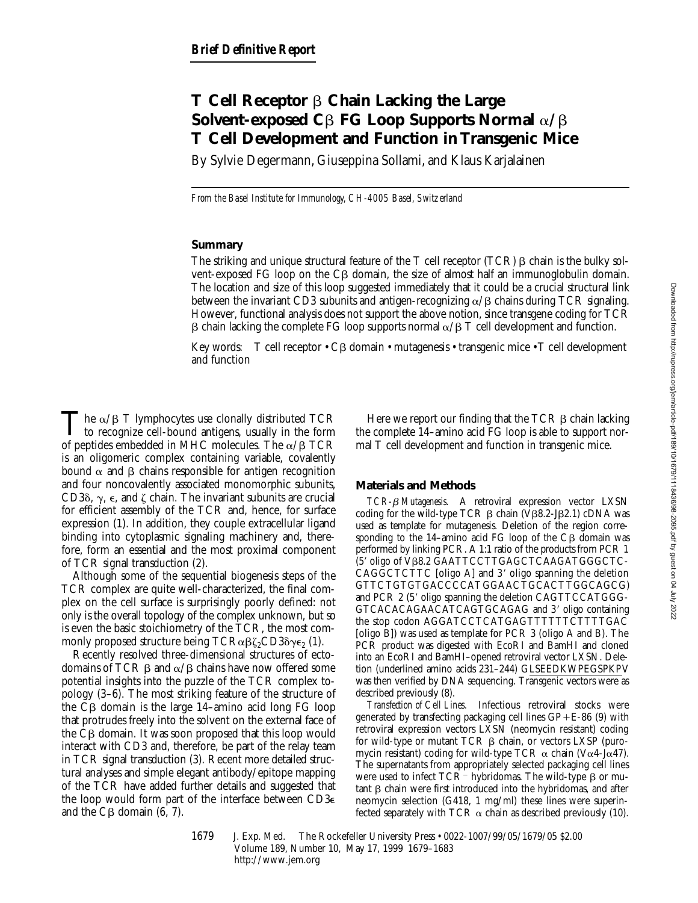# **T Cell Receptor** b **Chain Lacking the Large Solvent-exposed C** $\beta$  **FG Loop Supports Normal**  $\alpha/\beta$ **T Cell Development and Function in Transgenic Mice**

By Sylvie Degermann, Giuseppina Sollami, and Klaus Karjalainen

*From the Basel Institute for Immunology, CH-4005 Basel, Switzerland*

## **Summary**

The striking and unique structural feature of the  $T$  cell receptor (TCR)  $\beta$  chain is the bulky solvent-exposed FG loop on the  $C\beta$  domain, the size of almost half an immunoglobulin domain. The location and size of this loop suggested immediately that it could be a crucial structural link between the invariant CD3 subunits and antigen-recognizing  $\alpha/\beta$  chains during TCR signaling. However, functional analysis does not support the above notion, since transgene coding for TCR  $\beta$  chain lacking the complete FG loop supports normal  $\alpha/\beta$  T cell development and function.

Key words: T cell receptor  $\cdot$  C $\beta$  domain  $\cdot$  mutagenesis  $\cdot$  transgenic mice  $\cdot$  T cell development and function

The  $\alpha/\beta$  T lymphocytes use clonally distributed TCR to recognize cell-bound antigens, usually in the form of peptides embedded in MHC molecules. The  $\alpha/\beta$  TCR is an oligomeric complex containing variable, covalently bound  $\alpha$  and  $\beta$  chains responsible for antigen recognition and four noncovalently associated monomorphic subunits, CD3 $\delta$ ,  $\gamma$ ,  $\epsilon$ , and  $\zeta$  chain. The invariant subunits are crucial for efficient assembly of the TCR and, hence, for surface expression (1). In addition, they couple extracellular ligand binding into cytoplasmic signaling machinery and, therefore, form an essential and the most proximal component of TCR signal transduction (2).

Although some of the sequential biogenesis steps of the TCR complex are quite well-characterized, the final complex on the cell surface is surprisingly poorly defined: not only is the overall topology of the complex unknown, but so is even the basic stoichiometry of the TCR, the most commonly proposed structure being  $TCR\alpha\beta\zeta_2CD3\delta\gamma\epsilon_2$  (1).

Recently resolved three-dimensional structures of ectodomains of TCR  $\beta$  and  $\alpha/\beta$  chains have now offered some potential insights into the puzzle of the TCR complex topology (3–6). The most striking feature of the structure of the  $C\beta$  domain is the large 14–amino acid long FG loop that protrudes freely into the solvent on the external face of the  $C\beta$  domain. It was soon proposed that this loop would interact with CD3 and, therefore, be part of the relay team in TCR signal transduction (3). Recent more detailed structural analyses and simple elegant antibody/epitope mapping of the TCR have added further details and suggested that the loop would form part of the interface between CD3e and the  $C\beta$  domain (6, 7).

Here we report our finding that the TCR  $\beta$  chain lacking the complete 14–amino acid FG loop is able to support normal T cell development and function in transgenic mice.

# **Materials and Methods**

*TCR-*b *Mutagenesis.* A retroviral expression vector LXSN coding for the wild-type TCR  $\beta$  chain (V $\beta$ 8.2-J $\beta$ 2.1) cDNA was used as template for mutagenesis. Deletion of the region corresponding to the 14-amino acid FG loop of the  $C\beta$  domain was performed by linking PCR. A 1:1 ratio of the products from PCR 1 (5' oligo of Vβ8.2 GAATTCCTTGAGCTCAAGATGGGCTC- $CAGGCTCTTC$  [oligo A] and  $3'$  oligo spanning the deletion GTTCTGTGTGACCCCATGGAACTGCACTTGGCAGCG) and PCR 2 (5' oligo spanning the deletion CAGTTCCATGGG-GTCACACAGAACATCAGTGCAGAG and 3' oligo containing the stop codon AGGATCCTCATGAGTTTTTTCTTTTGAC [oligo B]) was used as template for PCR 3 (oligo A and B). The PCR product was digested with EcoRI and BamHI and cloned into an EcoRI and BamHI–opened retroviral vector LXSN. Deletion (underlined amino acids 231–244) GLSEEDKWPEGSPKPV was then verified by DNA sequencing. Transgenic vectors were as described previously (8).

*Transfection of Cell Lines.* Infectious retroviral stocks were generated by transfecting packaging cell lines  $GP + E-86$  (9) with retroviral expression vectors LXSN (neomycin resistant) coding for wild-type or mutant TCR  $\beta$  chain, or vectors LXSP (puromycin resistant) coding for wild-type TCR  $\alpha$  chain (V $\alpha$ 4-J $\alpha$ 47). The supernatants from appropriately selected packaging cell lines were used to infect TCR<sup>-</sup> hybridomas. The wild-type  $\beta$  or mutant  $\beta$  chain were first introduced into the hybridomas, and after neomycin selection (G418, 1 mg/ml) these lines were superinfected separately with TCR  $\alpha$  chain as described previously (10).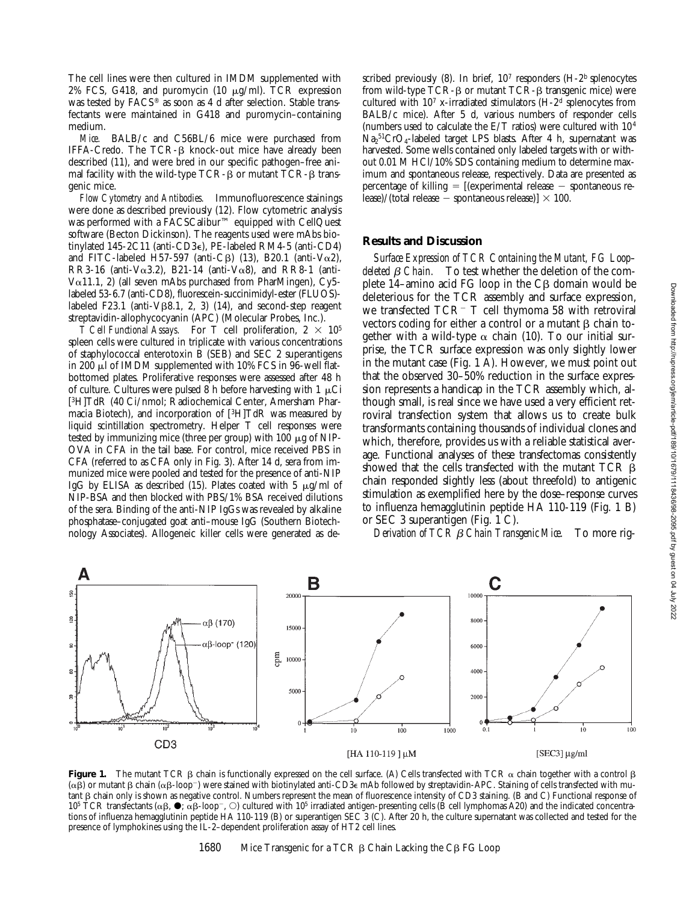The cell lines were then cultured in IMDM supplemented with 2% FCS, G418, and puromycin (10  $\mu$ g/ml). TCR expression was tested by FACS® as soon as 4 d after selection. Stable transfectants were maintained in G418 and puromycin–containing medium.

*Mice.* BALB/c and C56BL/6 mice were purchased from IFFA-Credo. The  $TCR-\beta$  knock-out mice have already been described (11), and were bred in our specific pathogen–free animal facility with the wild-type  $TCR-\beta$  or mutant  $TCR-\beta$  transgenic mice.

*Flow Cytometry and Antibodies.* Immunofluorescence stainings were done as described previously (12). Flow cytometric analysis was performed with a FACSCalibur™ equipped with CellQuest software (Becton Dickinson). The reagents used were mAbs biotinylated 145-2C11 (anti-CD3e), PE-labeled RM4-5 (anti-CD4) and FITC-labeled H57-597 (anti-C $\beta$ ) (13), B20.1 (anti-V $\alpha$ 2), RR3-16 (anti-V $\alpha$ 3.2), B21-14 (anti-V $\alpha$ 8), and RR8-1 (anti-V $\alpha$ 11.1, 2) (all seven mAbs purchased from PharMingen), Cy5labeled 53-6.7 (anti-CD8), fluorescein-succinimidyl-ester (FLUOS) labeled F23.1 (anti-V $\beta$ 8.1, 2, 3) (14), and second-step reagent streptavidin-allophycocyanin (APC) (Molecular Probes, Inc.).

*T Cell Functional Assays.* For T cell proliferation,  $2 \times 10^5$ spleen cells were cultured in triplicate with various concentrations of staphylococcal enterotoxin B (SEB) and SEC 2 superantigens in 200  $\mu$ l of IMDM supplemented with 10% FCS in 96-well flatbottomed plates. Proliferative responses were assessed after 48 h of culture. Cultures were pulsed 8 h before harvesting with 1  $\mu$ Ci [3H]TdR (40 Ci/nmol; Radiochemical Center, Amersham Pharmacia Biotech), and incorporation of [3H]TdR was measured by liquid scintillation spectrometry. Helper T cell responses were tested by immunizing mice (three per group) with  $100 \mu$ g of NIP-OVA in CFA in the tail base. For control, mice received PBS in CFA (referred to as CFA only in Fig. 3). After 14 d, sera from immunized mice were pooled and tested for the presence of anti-NIP IgG by ELISA as described (15). Plates coated with 5  $\mu$ g/ml of NIP-BSA and then blocked with PBS/1% BSA received dilutions of the sera. Binding of the anti-NIP IgGs was revealed by alkaline phosphatase–conjugated goat anti–mouse IgG (Southern Biotechnology Associates). Allogeneic killer cells were generated as described previously  $(8)$ . In brief,  $10<sup>7</sup>$  responders  $(H-2<sup>b</sup>$  splenocytes from wild-type  $TCR - \beta$  or mutant  $TCR - \beta$  transgenic mice) were cultured with  $10^7$  x-irradiated stimulators (H-2<sup>d</sup> splenocytes from BALB/c mice). After 5 d, various numbers of responder cells (numbers used to calculate the E/T ratios) were cultured with 104  $\text{Na}_2\text{^{51}CrO}_4\text{-labeled target LPS blasts. After 4 h, supernatant was}$ harvested. Some wells contained only labeled targets with or without 0.01 M HCl/10% SDS containing medium to determine maximum and spontaneous release, respectively. Data are presented as percentage of killing  $=$  [(experimental release  $-$  spontaneous release)/(total release  $-$  spontaneous release)]  $\times$  100.

#### **Results and Discussion**

*Surface Expression of TCR Containing the Mutant, FG Loop– deleted*  $\beta$  *Chain.* To test whether the deletion of the complete 14–amino acid  $FG$  loop in the  $CG$  domain would be deleterious for the TCR assembly and surface expression, we transfected  $TCR^-$  T cell thymoma 58 with retroviral vectors coding for either a control or a mutant  $\beta$  chain together with a wild-type  $\alpha$  chain (10). To our initial surprise, the TCR surface expression was only slightly lower in the mutant case (Fig. 1 A). However, we must point out that the observed 30–50% reduction in the surface expression represents a handicap in the TCR assembly which, although small, is real since we have used a very efficient retroviral transfection system that allows us to create bulk transformants containing thousands of individual clones and which, therefore, provides us with a reliable statistical average. Functional analyses of these transfectomas consistently showed that the cells transfected with the mutant  $TCR$   $\beta$ chain responded slightly less (about threefold) to antigenic stimulation as exemplified here by the dose–response curves to influenza hemagglutinin peptide HA 110-119 (Fig. 1 B) or SEC 3 superantigen (Fig. 1 C).

*Derivation of TCR* b *Chain Transgenic Mice.* To more rig-



**Figure 1.** The mutant TCR  $\beta$  chain is functionally expressed on the cell surface. (A) Cells transfected with TCR  $\alpha$  chain together with a control  $\beta$  $(\alpha\beta)$  or mutant  $\beta$  chain  $(\alpha\beta$ -loop<sup>-</sup>) were stained with biotinylated anti-CD3 $\epsilon$  mAb followed by streptavidin-APC. Staining of cells transfected with mutant b chain only is shown as negative control. Numbers represent the mean of fluorescence intensity of CD3 staining. (B and C) Functional response of 10<sup>5</sup> TCR transfectants ( $\alpha\beta$ ,  $\bullet$ ;  $\alpha\beta$ -loop<sup>-</sup>,  $\circ$ ) cultured with 10<sup>5</sup> irradiated antigen-presenting cells (B cell lymphomas A20) and the indicated concentrations of influenza hemagglutinin peptide HA 110-119 (B) or superantigen SEC 3 (C). After 20 h, the culture supernatant was collected and tested for the presence of lymphokines using the IL-2–dependent proliferation assay of HT2 cell lines.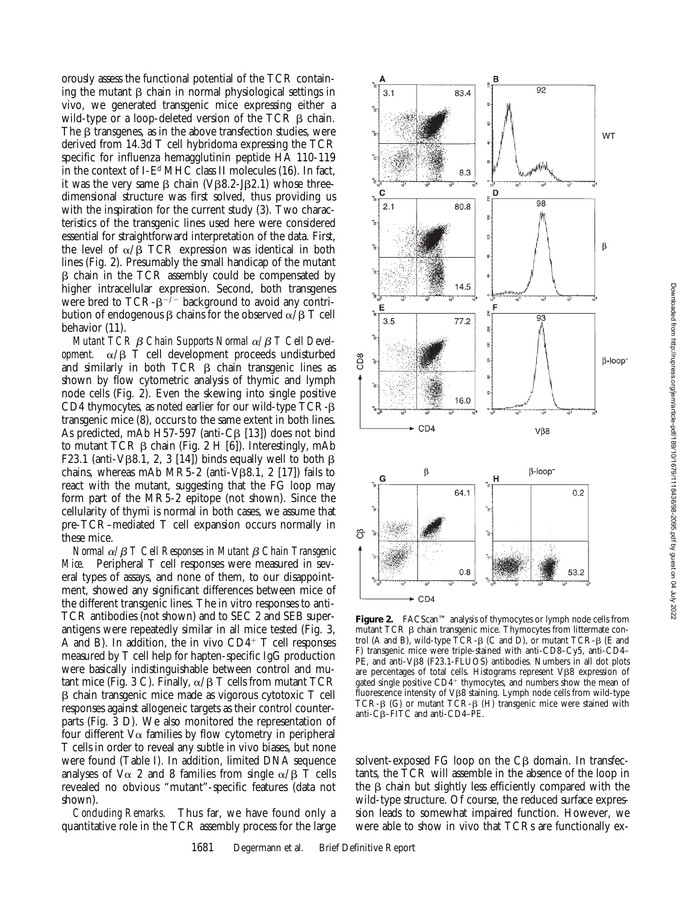orously assess the functional potential of the TCR containing the mutant  $\beta$  chain in normal physiological settings in  $3.1$ 83.4 vivo, we generated transgenic mice expressing either a wild-type or a loop-deleted version of the TCR  $\beta$  chain. The  $\beta$  transgenes, as in the above transfection studies, were derived from 14.3d T cell hybridoma expressing the TCR specific for influenza hemagglutinin peptide HA 110-119 in the context of I-Ed MHC class II molecules (16). In fact, 8.3 it was the very same  $\beta$  chain (V $\beta$ 8.2-J $\beta$ 2.1) whose threedimensional structure was first solved, thus providing us  $2.1$ 80.8 with the inspiration for the current study (3). Two characteristics of the transgenic lines used here were considered essential for straightforward interpretation of the data. First, the level of  $\alpha/\beta$  TCR expression was identical in both lines (Fig. 2). Presumably the small handicap of the mutant  $\beta$  chain in the TCR assembly could be compensated by 14.5 higher intracellular expression. Second, both transgenes were bred to  $TCR - \beta^{-2}$  background to avoid any contri-Ë bution of endogenous  $\beta$  chains for the observed  $\alpha/\beta$  T cell  $3.5$  $77.2$ C<sub>D</sub><sub>8</sub> 16.0

A

behavior (11). *Mutant TCR β Chain Supports Normal α/β T Cell Development.*  $\alpha/\beta$  T cell development proceeds undisturbed and similarly in both TCR  $\beta$  chain transgenic lines as shown by flow cytometric analysis of thymic and lymph node cells (Fig. 2). Even the skewing into single positive CD4 thymocytes, as noted earlier for our wild-type TCR- $\beta$ transgenic mice (8), occurs to the same extent in both lines. As predicted, mAb H57-597 (anti-C $\beta$  [13]) does not bind to mutant TCR  $\beta$  chain (Fig. 2 H [6]). Interestingly, mAb F23.1 (anti-V $\beta$ 8.1, 2, 3 [14]) binds equally well to both  $\beta$ chains, whereas mAb MR5-2 (anti-V $\beta$ 8.1, 2 [17]) fails to react with the mutant, suggesting that the FG loop may form part of the MR5-2 epitope (not shown). Since the cellularity of thymi is normal in both cases, we assume that pre-TCR–mediated T cell expansion occurs normally in these mice.

*Normal*  $\alpha$ / $\beta$  *T Cell Responses in Mutant*  $\beta$  *Chain Transgenic Mice.* Peripheral T cell responses were measured in several types of assays, and none of them, to our disappointment, showed any significant differences between mice of the different transgenic lines. The in vitro responses to anti-TCR antibodies (not shown) and to SEC 2 and SEB superantigens were repeatedly similar in all mice tested (Fig. 3, A and B). In addition, the in vivo  $CD4^+$  T cell responses measured by T cell help for hapten-specific IgG production were basically indistinguishable between control and mutant mice (Fig. 3 C). Finally,  $\alpha/\beta$  T cells from mutant TCR b chain transgenic mice made as vigorous cytotoxic T cell responses against allogeneic targets as their control counterparts (Fig. 3 D). We also monitored the representation of four different  $V\alpha$  families by flow cytometry in peripheral T cells in order to reveal any subtle in vivo biases, but none were found (Table I). In addition, limited DNA sequence analyses of  $V\alpha$  2 and 8 families from single  $\alpha/\beta$  T cells revealed no obvious "mutant"-specific features (data not shown).

*Concluding Remarks.* Thus far, we have found only a quantitative role in the TCR assembly process for the large



B

D

 $\tilde{a}$ 

 $\overline{92}$ 

98

 $93$ 

**WT** 

β

**Figure 2.** FACScan™ analysis of thymocytes or lymph node cells from mutant TCR  $\beta$  chain transgenic mice. Thymocytes from littermate control (A and B), wild-type  $\overline{TCR}$ - $\beta$  (C and D), or mutant  $\overline{TCR}$ - $\beta$  (E and F) transgenic mice were triple-stained with anti-CD8–Cy5, anti-CD4– PE, and anti-VB8 (F23.1-FLUOS) antibodies. Numbers in all dot plots are percentages of total cells. Histograms represent  $V\beta8$  expression of gated single positive  $CD4^+$  thymocytes, and numbers show the mean of  $f$ luorescence intensity of V $\beta$ 8 staining. Lymph node cells from wild-type TCR- $\beta$  (G) or mutant TCR- $\beta$  (H) transgenic mice were stained with anti-Cb–FITC and anti-CD4–PE.

solvent-exposed  $FG$  loop on the  $CG$  domain. In transfectants, the TCR will assemble in the absence of the loop in the  $\beta$  chain but slightly less efficiently compared with the wild-type structure. Of course, the reduced surface expression leads to somewhat impaired function. However, we were able to show in vivo that TCRs are functionally ex-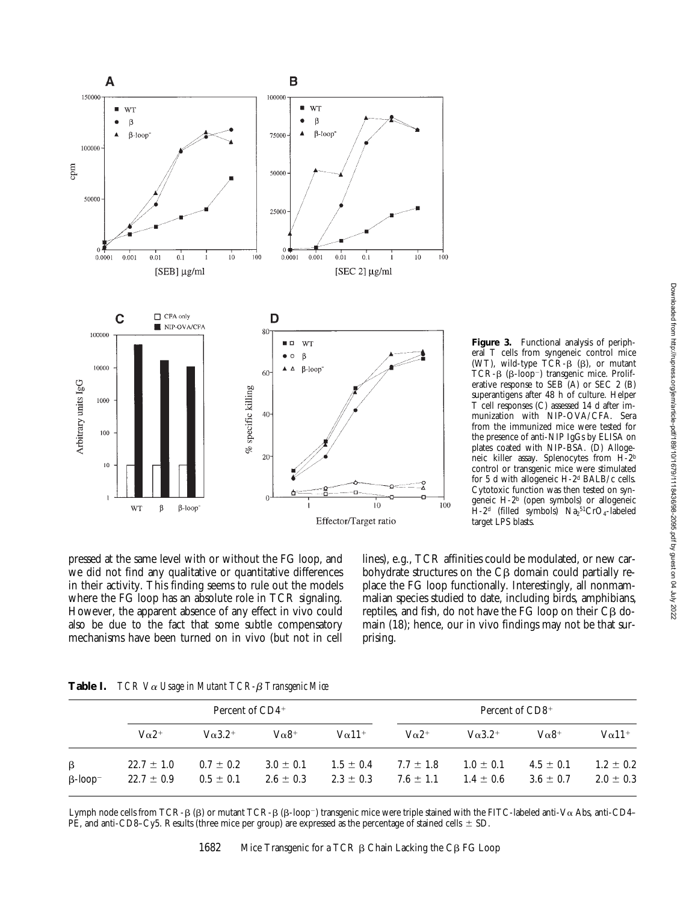

lines), e.g., TCR affinities could be modulated, or new carbohydrate structures on the  $C\beta$  domain could partially replace the FG loop functionally. Interestingly, all nonmammalian species studied to date, including birds, amphibians, reptiles, and fish, do not have the FG loop on their  $C\beta$  domain (18); hence, our in vivo findings may not be that sur- $H$ -2<sup>d</sup> (filled symbols)  $Na<sub>2</sub>^{51}CrO<sub>4</sub>$ -labeled target LPS blasts.

**Figure 3.** Functional analysis of peripheral T cells from syngeneic control mice (WT), wild-type  $\overline{TCR}$ - $\beta$  ( $\beta$ ), or mutant TCR- $\beta$  ( $\beta$ -loop<sup>-</sup>) transgenic mice. Proliferative response to SEB (A) or SEC 2 (B) superantigens after 48 h of culture. Helper T cell responses (C) assessed 14 d after immunization with NIP-OVA/CFA. Sera from the immunized mice were tested for the presence of anti-NIP IgGs by ELISA on plates coated with NIP-BSA. (D) Allogeneic killer assay. Splenocytes from H-2b control or transgenic mice were stimulated for 5 d with allogeneic H-2d BALB/c cells. Cytotoxic function was then tested on syngeneic H-2b (open symbols) or allogeneic

we did not find any qualitative or quantitative differences in their activity. This finding seems to rule out the models where the FG loop has an absolute role in TCR signaling. However, the apparent absence of any effect in vivo could also be due to the fact that some subtle compensatory mechanisms have been turned on in vivo (but not in cell

pressed at the same level with or without the FG loop, and

| Table I. |  |  |  | $TCR$ V $\alpha$ Usage in Mutant TCR- $\beta$ Transgenic Mice |
|----------|--|--|--|---------------------------------------------------------------|
|----------|--|--|--|---------------------------------------------------------------|

|                                   | Percent of $CD4^+$               |                                  |                                |                                | Percent of CD8 <sup>+</sup>    |                                |                                |                                |
|-----------------------------------|----------------------------------|----------------------------------|--------------------------------|--------------------------------|--------------------------------|--------------------------------|--------------------------------|--------------------------------|
|                                   | $V\alpha$ <sup>2+</sup>          | $\sqrt{\alpha}$ 3.2 <sup>+</sup> | $V\alpha$ 8 <sup>+</sup>       | $V\alpha$ 11 <sup>+</sup>      | $V\alpha$ 2 <sup>+</sup>       | $V\alpha 3.2^+$                | $V\alpha$ 8 <sup>+</sup>       | $V\alpha$ 11 <sup>+</sup>      |
| $\beta$<br>$B$ -loop <sup>-</sup> | $22.7 \pm 1.0$<br>$22.7 \pm 0.9$ | $0.7 \pm 0.2$<br>$0.5 \pm 0.1$   | $3.0 \pm 0.1$<br>$2.6 \pm 0.3$ | $1.5 \pm 0.4$<br>$2.3 \pm 0.3$ | $7.7 \pm 1.8$<br>$7.6 \pm 1.1$ | $1.0 \pm 0.1$<br>$1.4 \pm 0.6$ | $4.5 \pm 0.1$<br>$3.6 \pm 0.7$ | $1.2 \pm 0.2$<br>$2.0 \pm 0.3$ |

prising.

Lymph node cells from TCR- $\beta$  ( $\beta$ ) or mutant TCR- $\beta$  ( $\beta$ -loop<sup>-</sup>) transgenic mice were triple stained with the FITC-labeled anti-V $\alpha$  Abs, anti-CD4– PE, and anti-CD8–Cy5. Results (three mice per group) are expressed as the percentage of stained cells  $\pm$  SD.